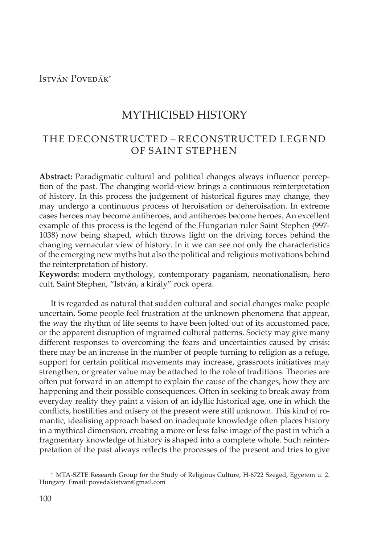István Povedák\*

# MYTHICISED HISTORY

# THE DECONSTRUCTED – RECONSTRUCTED LEGEND OF SAINT STEPHEN

**Abstract:** Paradigmatic cultural and political changes always influence perception of the past. The changing world-view brings a continuous reinterpretation of history. In this process the judgement of historical figures may change, they may undergo a continuous process of heroisation or deheroisation. In extreme cases heroes may become antiheroes, and antiheroes become heroes. An excellent example of this process is the legend of the Hungarian ruler Saint Stephen (997- 1038) now being shaped, which throws light on the driving forces behind the changing vernacular view of history. In it we can see not only the characteristics of the emerging new myths but also the political and religious motivations behind the reinterpretation of history.

**Keywords:** modern mythology, contemporary paganism, neonationalism, hero cult, Saint Stephen, "István, a király" rock opera.

It is regarded as natural that sudden cultural and social changes make people uncertain. Some people feel frustration at the unknown phenomena that appear, the way the rhythm of life seems to have been jolted out of its accustomed pace, or the apparent disruption of ingrained cultural patterns. Society may give many different responses to overcoming the fears and uncertainties caused by crisis: there may be an increase in the number of people turning to religion as a refuge, support for certain political movements may increase, grassroots initiatives may strengthen, or greater value may be attached to the role of traditions. Theories are often put forward in an attempt to explain the cause of the changes, how they are happening and their possible consequences. Often in seeking to break away from everyday reality they paint a vision of an idyllic historical age, one in which the conflicts, hostilities and misery of the present were still unknown. This kind of romantic, idealising approach based on inadequate knowledge often places history in a mythical dimension, creating a more or less false image of the past in which a fragmentary knowledge of history is shaped into a complete whole. Such reinterpretation of the past always reflects the processes of the present and tries to give

<sup>\*</sup> MTA-SZTE Research Group for the Study of Religious Culture, H-6722 Szeged, Egyetem u. 2. Hungary. Email: povedakistvan@gmail.com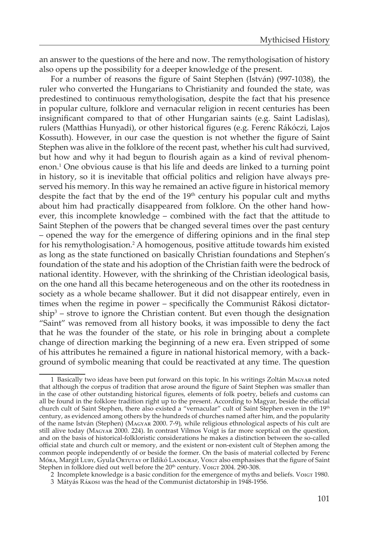an answer to the questions of the here and now. The remythologisation of history also opens up the possibility for a deeper knowledge of the present.

For a number of reasons the figure of Saint Stephen (István) (997-1038), the ruler who converted the Hungarians to Christianity and founded the state, was predestined to continuous remythologisation, despite the fact that his presence in popular culture, folklore and vernacular religion in recent centuries has been insignificant compared to that of other Hungarian saints (e.g. Saint Ladislas), rulers (Matthias Hunyadi), or other historical figures (e.g. Ferenc Rákóczi, Lajos Kossuth). However, in our case the question is not whether the figure of Saint Stephen was alive in the folklore of the recent past, whether his cult had survived, but how and why it had begun to flourish again as a kind of revival phenomenon.1 One obvious cause is that his life and deeds are linked to a turning point in history, so it is inevitable that official politics and religion have always preserved his memory. In this way he remained an active figure in historical memory despite the fact that by the end of the  $19<sup>th</sup>$  century his popular cult and myths about him had practically disappeared from folklore. On the other hand however, this incomplete knowledge – combined with the fact that the attitude to Saint Stephen of the powers that be changed several times over the past century – opened the way for the emergence of differing opinions and in the final step for his remythologisation.<sup>2</sup> A homogenous, positive attitude towards him existed as long as the state functioned on basically Christian foundations and Stephen's foundation of the state and his adoption of the Christian faith were the bedrock of national identity. However, with the shrinking of the Christian ideological basis, on the one hand all this became heterogeneous and on the other its rootedness in society as a whole became shallower. But it did not disappear entirely, even in times when the regime in power – specifically the Communist Rákosi dictatorship<sup>3</sup> – strove to ignore the Christian content. But even though the designation "Saint" was removed from all history books, it was impossible to deny the fact that he was the founder of the state, or his role in bringing about a complete change of direction marking the beginning of a new era. Even stripped of some of his attributes he remained a figure in national historical memory, with a background of symbolic meaning that could be reactivated at any time. The question

<sup>1</sup> Basically two ideas have been put forward on this topic. In his writings Zoltán Magyar noted that although the corpus of tradition that arose around the figure of Saint Stephen was smaller than in the case of other outstanding historical figures, elements of folk poetry, beliefs and customs can all be found in the folklore tradition right up to the present. According to Magyar, beside the official church cult of Saint Stephen, there also existed a "vernacular" cult of Saint Stephen even in the 19<sup>th</sup> century, as evidenced among others by the hundreds of churches named after him, and the popularity of the name István (Stephen) (Magyar 2000. 7-9), while religious ethnological aspects of his cult are still alive today (Magyar 2000. 224). In contrast Vilmos Voigt is far more sceptical on the question, and on the basis of historical-folkloristic considerations he makes a distinction between the so-called official state and church cult or memory, and the existent or non-existent cult of Stephen among the common people independently of or beside the former. On the basis of material collected by Ferenc Móra, Margit Luby, Gyula Ortutay or Ildikó Landgraf, Voigt also emphasises that the figure of Saint Stephen in folklore died out well before the 20<sup>th</sup> century. Voigt 2004. 290-308.

<sup>2</sup> Incomplete knowledge is a basic condition for the emergence of myths and beliefs. Voigt 1980.

<sup>3</sup> Mátyás Rákosi was the head of the Communist dictatorship in 1948-1956.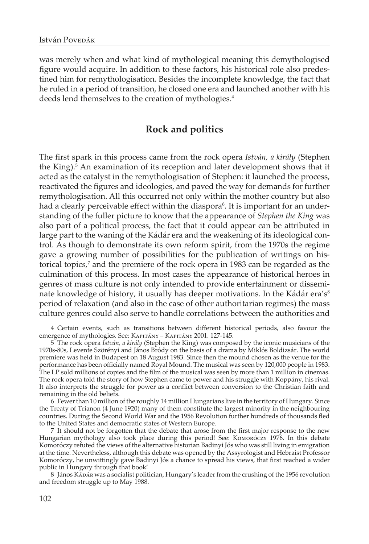was merely when and what kind of mythological meaning this demythologised figure would acquire. In addition to these factors, his historical role also predestined him for remythologisation. Besides the incomplete knowledge, the fact that he ruled in a period of transition, he closed one era and launched another with his deeds lend themselves to the creation of mythologies.<sup>4</sup>

# **Rock and politics**

The first spark in this process came from the rock opera *István, a király* (Stephen the King).<sup>5</sup> An examination of its reception and later development shows that it acted as the catalyst in the remythologisation of Stephen: it launched the process, reactivated the figures and ideologies, and paved the way for demands for further remythologisation. All this occurred not only within the mother country but also had a clearly perceivable effect within the diaspora<sup>6</sup>. It is important for an understanding of the fuller picture to know that the appearance of *Stephen the King* was also part of a political process, the fact that it could appear can be attributed in large part to the waning of the Kádár era and the weakening of its ideological control. As though to demonstrate its own reform spirit, from the 1970s the regime gave a growing number of possibilities for the publication of writings on historical topics,<sup>7</sup> and the premiere of the rock opera in 1983 can be regarded as the culmination of this process. In most cases the appearance of historical heroes in genres of mass culture is not only intended to provide entertainment or disseminate knowledge of history, it usually has deeper motivations. In the Kádár era's<sup>8</sup> period of relaxation (and also in the case of other authoritarian regimes) the mass culture genres could also serve to handle correlations between the authorities and

<sup>4</sup> Certain events, such as transitions between different historical periods, also favour the emergence of mythologies. See: Kapitány – Kapitány 2001. 127-145.

<sup>5</sup> The rock opera *István, a király* (Stephen the King) was composed by the iconic musicians of the 1970s-80s, Levente Szörényi and János Bródy on the basis of a drama by Miklós Boldizsár. The world premiere was held in Budapest on 18 August 1983. Since then the mound chosen as the venue for the performance has been officially named Royal Mound. The musical was seen by 120,000 people in 1983. The LP sold millions of copies and the film of the musical was seen by more than 1 million in cinemas. The rock opera told the story of how Stephen came to power and his struggle with Koppány, his rival. It also interprets the struggle for power as a conflict between conversion to the Christian faith and remaining in the old beliefs.

<sup>6</sup> Fewer than 10 million of the roughly 14 million Hungarians live in the territory of Hungary. Since the Treaty of Trianon (4 June 1920) many of them constitute the largest minority in the neighbouring countries. During the Second World War and the 1956 Revolution further hundreds of thousands fled to the United States and democratic states of Western Europe.

<sup>7</sup> It should not be forgotten that the debate that arose from the first major response to the new Hungarian mythology also took place during this period! See: Komoróczy 1976. In this debate Komoróczy refuted the views of the alternative historian Badinyi Jós who was still living in emigration at the time. Nevertheless, although this debate was opened by the Assyrologist and Hebraist Professor Komoróczy, he unwittingly gave Badinyi Jós a chance to spread his views, that first reached a wider public in Hungary through that book!

<sup>8</sup> János KÁDÁR was a socialist politician, Hungary's leader from the crushing of the 1956 revolution and freedom struggle up to May 1988.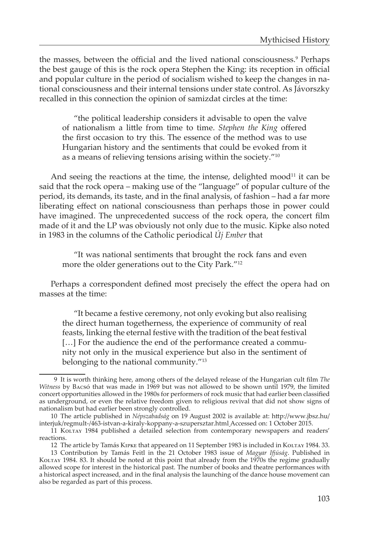the masses, between the official and the lived national consciousness.<sup>9</sup> Perhaps the best gauge of this is the rock opera Stephen the King: its reception in official and popular culture in the period of socialism wished to keep the changes in national consciousness and their internal tensions under state control. As Jávorszky recalled in this connection the opinion of samizdat circles at the time:

"the political leadership considers it advisable to open the valve of nationalism a little from time to time. *Stephen the King* offered the first occasion to try this. The essence of the method was to use Hungarian history and the sentiments that could be evoked from it as a means of relieving tensions arising within the society."10

And seeing the reactions at the time, the intense, delighted mood<sup>11</sup> it can be said that the rock opera – making use of the "language" of popular culture of the period, its demands, its taste, and in the final analysis, of fashion – had a far more liberating effect on national consciousness than perhaps those in power could have imagined. The unprecedented success of the rock opera, the concert film made of it and the LP was obviously not only due to the music. Kipke also noted in 1983 in the columns of the Catholic periodical *Új Ember* that

"It was national sentiments that brought the rock fans and even more the older generations out to the City Park."12

Perhaps a correspondent defined most precisely the effect the opera had on masses at the time:

"It became a festive ceremony, not only evoking but also realising the direct human togetherness, the experience of community of real feasts, linking the eternal festive with the tradition of the beat festival [...] For the audience the end of the performance created a community not only in the musical experience but also in the sentiment of belonging to the national community."13

<sup>9</sup> It is worth thinking here, among others of the delayed release of the Hungarian cult film *The Witness* by Bacsó that was made in 1969 but was not allowed to be shown until 1979, the limited concert opportunities allowed in the 1980s for performers of rock music that had earlier been classified as underground, or even the relative freedom given to religious revival that did not show signs of nationalism but had earlier been strongly controlled.

<sup>10</sup> The article published in *Népszabadság* on 19 August 2002 is available at: http://www.jbsz.hu/ interjuk/regmult-/463-istvan-a-kiraly-koppany-a-szupersztar.html Accessed on: 1 October 2015.

<sup>11</sup> Koltay 1984 published a detailed selection from contemporary newspapers and readers' reactions.

<sup>12</sup> The article by Tamás Kipke that appeared on 11 September 1983 is included in KOLTAY 1984. 33.

<sup>13</sup> Contribution by Tamás Feitl in the 21 October 1983 issue of *Magyar Ifjúság*. Published in Koltray 1984. 83. It should be noted at this point that already from the 1970s the regime gradually allowed scope for interest in the historical past. The number of books and theatre performances with a historical aspect increased, and in the final analysis the launching of the dance house movement can also be regarded as part of this process.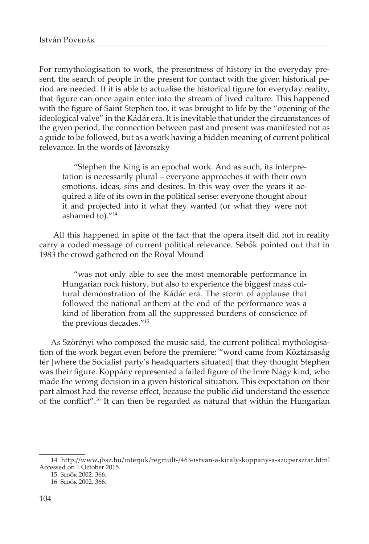For remythologisation to work, the presentness of history in the everyday present, the search of people in the present for contact with the given historical period are needed. If it is able to actualise the historical figure for everyday reality, that figure can once again enter into the stream of lived culture. This happened with the figure of Saint Stephen too, it was brought to life by the "opening of the ideological valve" in the Kádár era. It is inevitable that under the circumstances of the given period, the connection between past and present was manifested not as a guide to be followed, but as a work having a hidden meaning of current political relevance. In the words of Jávorszky

"Stephen the King is an epochal work. And as such, its interpretation is necessarily plural – everyone approaches it with their own emotions, ideas, sins and desires. In this way over the years it acquired a life of its own in the political sense: everyone thought about it and projected into it what they wanted (or what they were not ashamed to)."14

 All this happened in spite of the fact that the opera itself did not in reality carry a coded message of current political relevance. Sebők pointed out that in 1983 the crowd gathered on the Royal Mound

"was not only able to see the most memorable performance in Hungarian rock history, but also to experience the biggest mass cultural demonstration of the Kádár era. The storm of applause that followed the national anthem at the end of the performance was a kind of liberation from all the suppressed burdens of conscience of the previous decades."15

As Szörényi who composed the music said, the current political mythologisation of the work began even before the premiere: "word came from Köztársaság tér [where the Socialist party's headquarters situated] that they thought Stephen was their figure. Koppány represented a failed figure of the Imre Nagy kind, who made the wrong decision in a given historical situation. This expectation on their part almost had the reverse effect, because the public did understand the essence of the conflict".16 It can then be regarded as natural that within the Hungarian

<sup>14</sup> http://www.jbsz.hu/interjuk/regmult-/463-istvan-a-kiraly-koppany-a-szupersztar.html Accessed on 1 October 2015.

<sup>15</sup> Sebők 2002. 366.

<sup>16</sup> Sebők 2002. 366.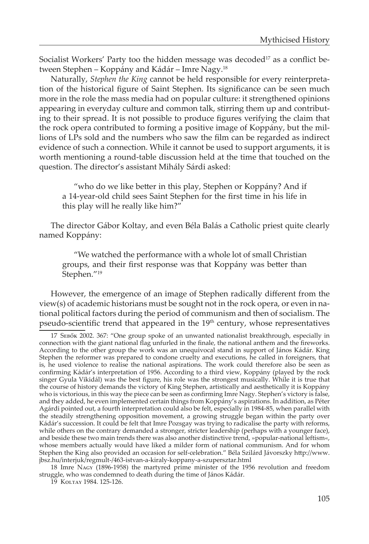Socialist Workers' Party too the hidden message was decoded<sup>17</sup> as a conflict between Stephen – Koppány and Kádár – Imre Nagy.<sup>18</sup>

Naturally, *Stephen the King* cannot be held responsible for every reinterpretation of the historical figure of Saint Stephen. Its significance can be seen much more in the role the mass media had on popular culture: it strengthened opinions appearing in everyday culture and common talk, stirring them up and contributing to their spread. It is not possible to produce figures verifying the claim that the rock opera contributed to forming a positive image of Koppány, but the millions of LPs sold and the numbers who saw the film can be regarded as indirect evidence of such a connection. While it cannot be used to support arguments, it is worth mentioning a round-table discussion held at the time that touched on the question. The director's assistant Mihály Sárdi asked:

"who do we like better in this play, Stephen or Koppány? And if a 14-year-old child sees Saint Stephen for the first time in his life in this play will he really like him?"

The director Gábor Koltay, and even Béla Balás a Catholic priest quite clearly named Koppány:

"We watched the performance with a whole lot of small Christian groups, and their first response was that Koppány was better than Stephen."19

However, the emergence of an image of Stephen radically different from the view(s) of academic historians must be sought not in the rock opera, or even in national political factors during the period of communism and then of socialism. The pseudo-scientific trend that appeared in the  $19<sup>th</sup>$  century, whose representatives

18 Imre Nagy (1896-1958) the martyred prime minister of the 1956 revolution and freedom struggle, who was condemned to death during the time of János Kádár.

<sup>17</sup> Sebők 2002. 367: "One group spoke of an unwanted nationalist breakthrough, especially in connection with the giant national flag unfurled in the finale, the national anthem and the fireworks. According to the other group the work was an unequivocal stand in support of János Kádár. King Stephen the reformer was prepared to condone cruelty and executions, he called in foreigners, that is, he used violence to realise the national aspirations. The work could therefore also be seen as confirming Kádár's interpretation of 1956. According to a third view, Koppány (played by the rock singer Gyula Vikidál) was the best figure, his role was the strongest musically. While it is true that the course of history demands the victory of King Stephen, artistically and aesthetically it is Koppány who is victorious, in this way the piece can be seen as confirming Imre Nagy. Stephen's victory is false, and they added, he even implemented certain things from Koppány's aspirations. In addition, as Péter Agárdi pointed out, a fourth interpretation could also be felt, especially in 1984-85, when parallel with the steadily strengthening opposition movement, a growing struggle began within the party over Kádár's succession. It could be felt that Imre Pozsgay was trying to radicalise the party with reforms, while others on the contrary demanded a stronger, stricter leadership (perhaps with a younger face), and beside these two main trends there was also another distinctive trend, »popular-national leftism«, whose members actually would have liked a milder form of national communism. And for whom Stephen the King also provided an occasion for self-celebration." Béla Szilárd Jávorszky http://www. jbsz.hu/interjuk/regmult-/463-istvan-a-kiraly-koppany-a-szupersztar.html

<sup>19</sup> Koltay 1984. 125-126.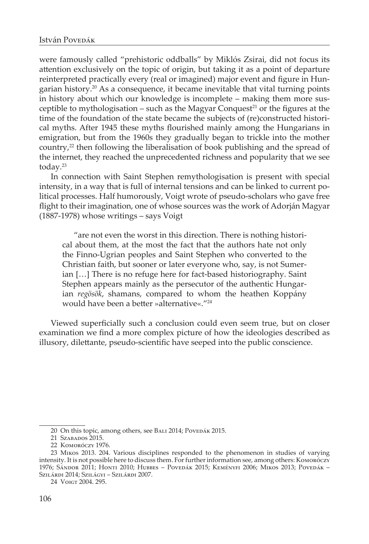were famously called "prehistoric oddballs" by Miklós Zsirai, did not focus its attention exclusively on the topic of origin, but taking it as a point of departure reinterpreted practically every (real or imagined) major event and figure in Hungarian history.<sup>20</sup> As a consequence, it became inevitable that vital turning points in history about which our knowledge is incomplete – making them more susceptible to mythologisation – such as the Magyar Conquest<sup>21</sup> or the figures at the time of the foundation of the state became the subjects of (re)constructed historical myths. After 1945 these myths flourished mainly among the Hungarians in emigration, but from the 1960s they gradually began to trickle into the mother country,22 then following the liberalisation of book publishing and the spread of the internet, they reached the unprecedented richness and popularity that we see today.23

In connection with Saint Stephen remythologisation is present with special intensity, in a way that is full of internal tensions and can be linked to current political processes. Half humorously, Voigt wrote of pseudo-scholars who gave free flight to their imagination, one of whose sources was the work of Adorján Magyar (1887-1978) whose writings – says Voigt

"are not even the worst in this direction. There is nothing historical about them, at the most the fact that the authors hate not only the Finno-Ugrian peoples and Saint Stephen who converted to the Christian faith, but sooner or later everyone who, say, is not Sumerian […] There is no refuge here for fact-based historiography. Saint Stephen appears mainly as the persecutor of the authentic Hungarian *regösök*, shamans, compared to whom the heathen Koppány would have been a better »alternative«."<sup>24</sup>

Viewed superficially such a conclusion could even seem true, but on closer examination we find a more complex picture of how the ideologies described as illusory, dilettante, pseudo-scientific have seeped into the public conscience.

<sup>20</sup> On this topic, among others, see BALI 2014; PoveDÁK 2015.

<sup>21</sup> SZABADOS 2015.

<sup>22</sup> Komoróczy 1976.

<sup>23</sup> Mikos 2013. 204. Various disciplines responded to the phenomenon in studies of varying intensity. It is not possible here to discuss them. For further information see, among others: Komoróczy 1976; Sándor 2011; Honti 2010; Hubbes – Povedák 2015; Keményfi 2006; Mikos 2013; Povedák – Szilárdi 2014; Szilágyi – Szilárdi 2007.

<sup>24</sup> Voigt 2004. 295.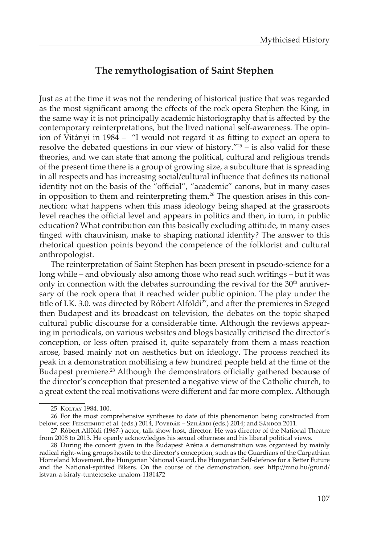## **The remythologisation of Saint Stephen**

Just as at the time it was not the rendering of historical justice that was regarded as the most significant among the effects of the rock opera Stephen the King, in the same way it is not principally academic historiography that is affected by the contemporary reinterpretations, but the lived national self-awareness. The opinion of Vitányi in 1984 – "I would not regard it as fitting to expect an opera to resolve the debated questions in our view of history.<sup> $25$ </sup> – is also valid for these theories, and we can state that among the political, cultural and religious trends of the present time there is a group of growing size, a subculture that is spreading in all respects and has increasing social/cultural influence that defines its national identity not on the basis of the "official", "academic" canons, but in many cases in opposition to them and reinterpreting them.<sup>26</sup> The question arises in this connection: what happens when this mass ideology being shaped at the grassroots level reaches the official level and appears in politics and then, in turn, in public education? What contribution can this basically excluding attitude, in many cases tinged with chauvinism, make to shaping national identity? The answer to this rhetorical question points beyond the competence of the folklorist and cultural anthropologist.

The reinterpretation of Saint Stephen has been present in pseudo-science for a long while – and obviously also among those who read such writings – but it was only in connection with the debates surrounding the revival for the 30<sup>th</sup> anniversary of the rock opera that it reached wider public opinion. The play under the title of I.K. 3.0. was directed by Róbert Alföldi<sup>27</sup>, and after the premieres in Szeged then Budapest and its broadcast on television, the debates on the topic shaped cultural public discourse for a considerable time. Although the reviews appearing in periodicals, on various websites and blogs basically criticised the director's conception, or less often praised it, quite separately from them a mass reaction arose, based mainly not on aesthetics but on ideology. The process reached its peak in a demonstration mobilising a few hundred people held at the time of the Budapest premiere.<sup>28</sup> Although the demonstrators officially gathered because of the director's conception that presented a negative view of the Catholic church, to a great extent the real motivations were different and far more complex. Although

<sup>25</sup> Koltay 1984. 100.

<sup>26</sup> For the most comprehensive syntheses to date of this phenomenon being constructed from below, see: Feischmidt et al. (eds.) 2014, Povedák – Szilárdi (eds.) 2014; and Sándor 2011.

<sup>27</sup> Róbert Alföldi (1967-) actor, talk show host, director. He was director of the National Theatre from 2008 to 2013. He openly acknowledges his sexual otherness and his liberal political views.

<sup>28</sup> During the concert given in the Budapest Aréna a demonstration was organised by mainly radical right-wing groups hostile to the director's conception, such as the Guardians of the Carpathian Homeland Movement, the Hungarian National Guard, the Hungarian Self-defence for a Better Future and the National-spirited Bikers. On the course of the demonstration, see: http://mno.hu/grund/ istvan-a-kiraly-tunteteseke-unalom-1181472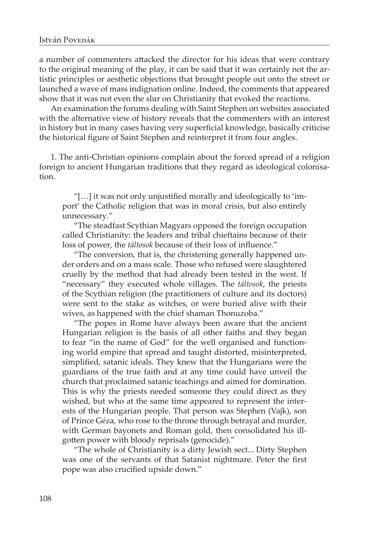a number of commenters attacked the director for his ideas that were contrary to the original meaning of the play, it can be said that it was certainly not the artistic principles or aesthetic objections that brought people out onto the street or launched a wave of mass indignation online. Indeed, the comments that appeared show that it was not even the slur on Christianity that evoked the reactions.

An examination the forums dealing with Saint Stephen on websites associated with the alternative view of history reveals that the commenters with an interest in history but in many cases having very superficial knowledge, basically criticise the historical figure of Saint Stephen and reinterpret it from four angles.

1. The anti-Christian opinions complain about the forced spread of a religion foreign to ancient Hungarian traditions that they regard as ideological colonisation.

"[…] it was not only unjustified morally and ideologically to 'import' the Catholic religion that was in moral crisis, but also entirely unnecessary."

"The steadfast Scythian Magyars opposed the foreign occupation called Christianity: the leaders and tribal chieftains because of their loss of power, the *táltosok* because of their loss of influence."

"The conversion, that is, the christening generally happened under orders and on a mass scale. Those who refused were slaughtered cruelly by the method that had already been tested in the west. If "necessary" they executed whole villages. The *táltosok*, the priests of the Scythian religion (the practitioners of culture and its doctors) were sent to the stake as witches, or were buried alive with their wives, as happened with the chief shaman Thonuzoba."

"The popes in Rome have always been aware that the ancient Hungarian religion is the basis of all other faiths and they began to fear "in the name of God" for the well organised and functioning world empire that spread and taught distorted, misinterpreted, simplified, satanic ideals. They knew that the Hungarians were the guardians of the true faith and at any time could have unveil the church that proclaimed satanic teachings and aimed for domination. This is why the priests needed someone they could direct as they wished, but who at the same time appeared to represent the interests of the Hungarian people. That person was Stephen (Vajk), son of Prince Géza, who rose to the throne through betrayal and murder, with German bayonets and Roman gold, then consolidated his illgotten power with bloody reprisals (genocide)."

"The whole of Christianity is a dirty Jewish sect... Dirty Stephen was one of the servants of that Satanist nightmare. Peter the first pope was also crucified upside down."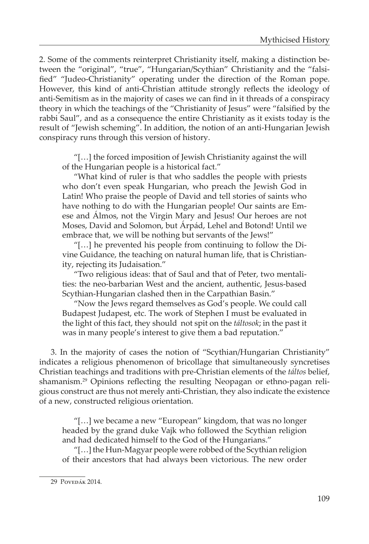2. Some of the comments reinterpret Christianity itself, making a distinction between the "original", "true", "Hungarian/Scythian" Christianity and the "falsified" "Judeo-Christianity" operating under the direction of the Roman pope. However, this kind of anti-Christian attitude strongly reflects the ideology of anti-Semitism as in the majority of cases we can find in it threads of a conspiracy theory in which the teachings of the "Christianity of Jesus" were "falsified by the rabbi Saul", and as a consequence the entire Christianity as it exists today is the result of "Jewish scheming". In addition, the notion of an anti-Hungarian Jewish conspiracy runs through this version of history.

"[…] the forced imposition of Jewish Christianity against the will of the Hungarian people is a historical fact."

"What kind of ruler is that who saddles the people with priests who don't even speak Hungarian, who preach the Jewish God in Latin! Who praise the people of David and tell stories of saints who have nothing to do with the Hungarian people! Our saints are Emese and Álmos, not the Virgin Mary and Jesus! Our heroes are not Moses, David and Solomon, but Árpád, Lehel and Botond! Until we embrace that, we will be nothing but servants of the Jews!"

"[…] he prevented his people from continuing to follow the Divine Guidance, the teaching on natural human life, that is Christianity, rejecting its Judaisation."

"Two religious ideas: that of Saul and that of Peter, two mentalities: the neo-barbarian West and the ancient, authentic, Jesus-based Scythian-Hungarian clashed then in the Carpathian Basin."

"Now the Jews regard themselves as God's people. We could call Budapest Judapest, etc. The work of Stephen I must be evaluated in the light of this fact, they should not spit on the *táltosok*; in the past it was in many people's interest to give them a bad reputation."

3. In the majority of cases the notion of "Scythian/Hungarian Christianity" indicates a religious phenomenon of bricollage that simultaneously syncretises Christian teachings and traditions with pre-Christian elements of the *táltos* belief, shamanism.29 Opinions reflecting the resulting Neopagan or ethno-pagan religious construct are thus not merely anti-Christian, they also indicate the existence of a new, constructed religious orientation.

"[…] we became a new "European" kingdom, that was no longer headed by the grand duke Vajk who followed the Scythian religion and had dedicated himself to the God of the Hungarians."

"[…] the Hun-Magyar people were robbed of the Scythian religion of their ancestors that had always been victorious. The new order

<sup>29</sup> Povedák 2014.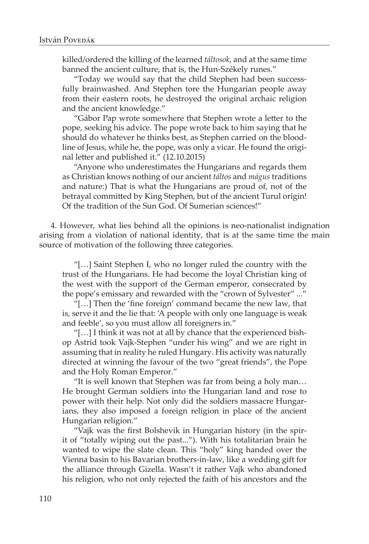killed/ordered the killing of the learned *táltosok*, and at the same time banned the ancient culture, that is, the Hun-Székely runes."

"Today we would say that the child Stephen had been successfully brainwashed. And Stephen tore the Hungarian people away from their eastern roots, he destroyed the original archaic religion and the ancient knowledge."

"Gábor Pap wrote somewhere that Stephen wrote a letter to the pope, seeking his advice. The pope wrote back to him saying that he should do whatever he thinks best, as Stephen carried on the bloodline of Jesus, while he, the pope, was only a vicar. He found the original letter and published it." (12.10.2015)

"Anyone who underestimates the Hungarians and regards them as Christian knows nothing of our ancient *táltos* and *mágus* traditions and nature:) That is what the Hungarians are proud of, not of the betrayal committed by King Stephen, but of the ancient Turul origin! Of the tradition of the Sun God. Of Sumerian sciences!"

4. However, what lies behind all the opinions is neo-nationalist indignation arising from a violation of national identity, that is at the same time the main source of motivation of the following three categories.

"[…] Saint Stephen I, who no longer ruled the country with the trust of the Hungarians. He had become the loyal Christian king of the west with the support of the German emperor, consecrated by the pope's emissary and rewarded with the "crown of Sylvester" ..."

"[…] Then the 'fine foreign' command became the new law, that is, serve it and the lie that: 'A people with only one language is weak and feeble', so you must allow all foreigners in."

"[…] I think it was not at all by chance that the experienced bishop Astrid took Vajk-Stephen "under his wing" and we are right in assuming that in reality he ruled Hungary. His activity was naturally directed at winning the favour of the two "great friends", the Pope and the Holy Roman Emperor."

"It is well known that Stephen was far from being a holy man… He brought German soldiers into the Hungarian land and rose to power with their help. Not only did the soldiers massacre Hungarians, they also imposed a foreign religion in place of the ancient Hungarian religion."

"Vajk was the first Bolshevik in Hungarian history (in the spirit of "totally wiping out the past..."). With his totalitarian brain he wanted to wipe the slate clean. This "holy" king handed over the Vienna basin to his Bavarian brothers-in-law, like a wedding gift for the alliance through Gizella. Wasn't it rather Vajk who abandoned his religion, who not only rejected the faith of his ancestors and the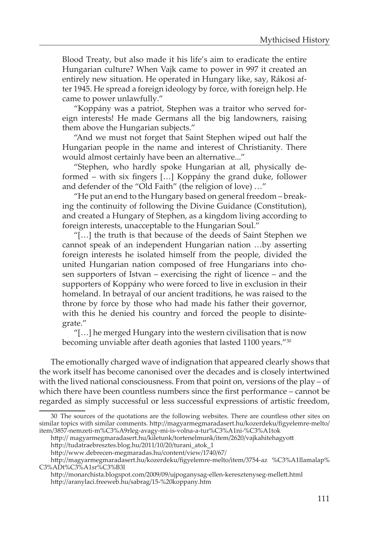Blood Treaty, but also made it his life's aim to eradicate the entire Hungarian culture? When Vajk came to power in 997 it created an entirely new situation. He operated in Hungary like, say, Rákosi after 1945. He spread a foreign ideology by force, with foreign help. He came to power unlawfully."

"Koppány was a patriot, Stephen was a traitor who served foreign interests! He made Germans all the big landowners, raising them above the Hungarian subjects."

"And we must not forget that Saint Stephen wiped out half the Hungarian people in the name and interest of Christianity. There would almost certainly have been an alternative..."

"Stephen, who hardly spoke Hungarian at all, physically deformed – with six fingers […] Koppány the grand duke, follower and defender of the "Old Faith" (the religion of love) …"

"He put an end to the Hungary based on general freedom – breaking the continuity of following the Divine Guidance (Constitution), and created a Hungary of Stephen, as a kingdom living according to foreign interests, unacceptable to the Hungarian Soul."

"[…] the truth is that because of the deeds of Saint Stephen we cannot speak of an independent Hungarian nation …by asserting foreign interests he isolated himself from the people, divided the united Hungarian nation composed of free Hungarians into chosen supporters of Istvan – exercising the right of licence – and the supporters of Koppány who were forced to live in exclusion in their homeland. In betrayal of our ancient traditions, he was raised to the throne by force by those who had made his father their governor, with this he denied his country and forced the people to disintegrate."

"[…] he merged Hungary into the western civilisation that is now becoming unviable after death agonies that lasted 1100 years."30

The emotionally charged wave of indignation that appeared clearly shows that the work itself has become canonised over the decades and is closely intertwined with the lived national consciousness. From that point on, versions of the play – of which there have been countless numbers since the first performance – cannot be regarded as simply successful or less successful expressions of artistic freedom,

http:// magyarmegmaradasert.hu/kiletunk/tortenelmunk/item/2620/vajkahitehagyott

<sup>30</sup> The sources of the quotations are the following websites. There are countless other sites on similar topics with similar comments. http://magyarmegmaradasert.hu/kozerdeku/figyelemre-melto/ item/3857-nemzeti-m%C3%A9rleg-avagy-mi-is-volna-a-tur%C3%A1ni-%C3%A1tok

http://tudatraebresztes.blog.hu/2011/10/20/turani\_atok\_1

http://www.debrecen-megmaradas.hu/content/view/1740/67/

http://magyarmegmaradasert.hu/kozerdeku/figyelemre-melto/item/3754-az %C3%A1llamalap% C3%ADt%C3%A1sr%C3%B3l

http://monarchista.blogspot.com/2009/09/ujpoganysag-ellen-keresztenyseg-mellett.html http://aranylaci.freeweb.hu/sabrag/15-%20koppany.htm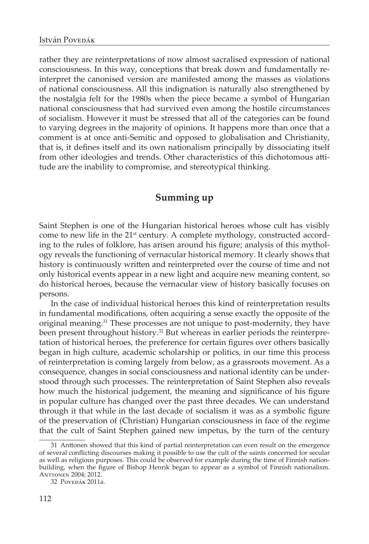rather they are reinterpretations of now almost sacralised expression of national consciousness. In this way, conceptions that break down and fundamentally reinterpret the canonised version are manifested among the masses as violations of national consciousness. All this indignation is naturally also strengthened by the nostalgia felt for the 1980s when the piece became a symbol of Hungarian national consciousness that had survived even among the hostile circumstances of socialism. However it must be stressed that all of the categories can be found to varying degrees in the majority of opinions. It happens more than once that a comment is at once anti-Semitic and opposed to globalisation and Christianity, that is, it defines itself and its own nationalism principally by dissociating itself from other ideologies and trends. Other characteristics of this dichotomous attitude are the inability to compromise, and stereotypical thinking.

# **Summing up**

Saint Stephen is one of the Hungarian historical heroes whose cult has visibly come to new life in the 21<sup>st</sup> century. A complete mythology, constructed according to the rules of folklore, has arisen around his figure; analysis of this mythology reveals the functioning of vernacular historical memory. It clearly shows that history is continuously written and reinterpreted over the course of time and not only historical events appear in a new light and acquire new meaning content, so do historical heroes, because the vernacular view of history basically focuses on persons.

In the case of individual historical heroes this kind of reinterpretation results in fundamental modifications, often acquiring a sense exactly the opposite of the original meaning.<sup>31</sup> These processes are not unique to post-modernity, they have been present throughout history.<sup>32</sup> But whereas in earlier periods the reinterpretation of historical heroes, the preference for certain figures over others basically began in high culture, academic scholarship or politics, in our time this process of reinterpretation is coming largely from below, as a grassroots movement. As a consequence, changes in social consciousness and national identity can be understood through such processes. The reinterpretation of Saint Stephen also reveals how much the historical judgement, the meaning and significance of his figure in popular culture has changed over the past three decades. We can understand through it that while in the last decade of socialism it was as a symbolic figure of the preservation of (Christian) Hungarian consciousness in face of the regime that the cult of Saint Stephen gained new impetus, by the turn of the century

<sup>31</sup> Anttonen showed that this kind of partial reinterpretation can even result on the emergence of several conflicting discourses making it possible to use the cult of the saints concerned for secular as well as religious purposes. This could be observed for example during the time of Finnish nationbuilding, when the figure of Bishop Henrik began to appear as a symbol of Finnish nationalism. Anttonen 2004; 2012.

<sup>32</sup> Povedák 2011a.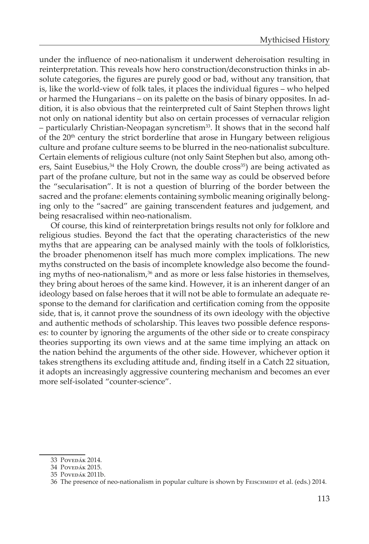under the influence of neo-nationalism it underwent deheroisation resulting in reinterpretation. This reveals how hero construction/deconstruction thinks in absolute categories, the figures are purely good or bad, without any transition, that is, like the world-view of folk tales, it places the individual figures – who helped or harmed the Hungarians – on its palette on the basis of binary opposites. In addition, it is also obvious that the reinterpreted cult of Saint Stephen throws light not only on national identity but also on certain processes of vernacular religion  $-$  particularly Christian-Neopagan syncretism<sup>33</sup>. It shows that in the second half of the  $20<sup>th</sup>$  century the strict borderline that arose in Hungary between religious culture and profane culture seems to be blurred in the neo-nationalist subculture. Certain elements of religious culture (not only Saint Stephen but also, among others, Saint Eusebius, $34$  the Holy Crown, the double cross<sup>35</sup>) are being activated as part of the profane culture, but not in the same way as could be observed before the "secularisation". It is not a question of blurring of the border between the sacred and the profane: elements containing symbolic meaning originally belonging only to the "sacred" are gaining transcendent features and judgement, and being resacralised within neo-nationalism.

Of course, this kind of reinterpretation brings results not only for folklore and religious studies. Beyond the fact that the operating characteristics of the new myths that are appearing can be analysed mainly with the tools of folkloristics, the broader phenomenon itself has much more complex implications. The new myths constructed on the basis of incomplete knowledge also become the founding myths of neo-nationalism, $36$  and as more or less false histories in themselves, they bring about heroes of the same kind. However, it is an inherent danger of an ideology based on false heroes that it will not be able to formulate an adequate response to the demand for clarification and certification coming from the opposite side, that is, it cannot prove the soundness of its own ideology with the objective and authentic methods of scholarship. This leaves two possible defence responses: to counter by ignoring the arguments of the other side or to create conspiracy theories supporting its own views and at the same time implying an attack on the nation behind the arguments of the other side. However, whichever option it takes strengthens its excluding attitude and, finding itself in a Catch 22 situation, it adopts an increasingly aggressive countering mechanism and becomes an ever more self-isolated "counter-science".

<sup>33</sup> Povedák 2014.

<sup>34</sup> Povedák 2015.

<sup>35</sup> Povedák 2011b.

<sup>36</sup> The presence of neo-nationalism in popular culture is shown by FEISCHMIDT et al. (eds.) 2014.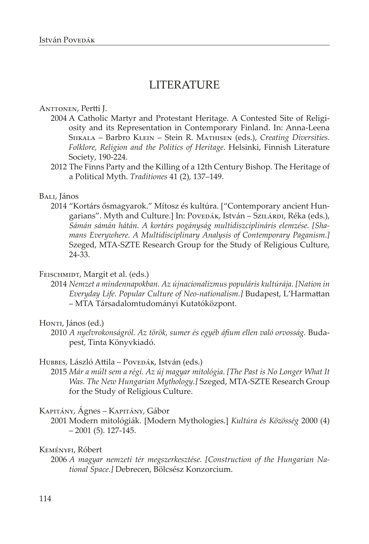# LITERATURE

#### Anttonen, Pertti J.

- 2004 A Catholic Martyr and Protestant Heritage. A Contested Site of Religiosity and its Representation in Contemporary Finland. In: Anna-Leena Siikala – Barbro Klein – Stein R. Mathisen (eds.), *Creating Diversities. Folklore, Religion and the Politics of Heritage*. Helsinki, Finnish Literature Society, 190-224.
- 2012 The Finns Party and the Killing of a 12th Century Bishop. The Heritage of a Political Myth. *Traditiones* 41 (2), 137–149.

#### Bali, János

2014 "Kortárs ősmagyarok." Mítosz és kultúra. ["Contemporary ancient Hungarians". Myth and Culture.] In: Povedák, István – Szilárdi, Réka (eds.), *Sámán sámán hátán. A kortárs pogányság multidiszciplináris elemzése. [Shamans Everywhere. A Multidisciplinary Analysis of Contemporary Paganism.]* Szeged, MTA-SZTE Research Group for the Study of Religious Culture, 24-33.

#### Feischmidt, Margit et al. (eds.)

2014 *Nemzet a mindennapokban. Az újnacionalizmus populáris kultúrája. [Nation in Everyday Life. Popular Culture of Neo-nationalism.]* Budapest, L'Harmattan – MTA Társadalomtudományi Kutatóközpont.

#### Honti, János (ed.)

2010 *A nyelvrokonságról. Az török, sumer és egyéb áfium ellen való orvosság.* Budapest, Tinta Könyvkiadó.

#### Hubbes, László Attila – Povedák, István (eds.)

2015 *Már a múlt sem a régi. Az új magyar mitológia*. *[The Past is No Longer What It Was. The New Hungarian Mythology.]* Szeged, MTA-SZTE Research Group for the Study of Religious Culture.

#### Kapitány, Ágnes – Kapitány, Gábor

2001 Modern mitológiák. [Modern Mythologies.] *Kultúra és Közösség* 2000 (4) – 2001 (5). 127-145.

### Keményfi, Róbert

2006 *A magyar nemzeti tér megszerkesztése. [Construction of the Hungarian National Space.]* Debrecen, Bölcsész Konzorcium.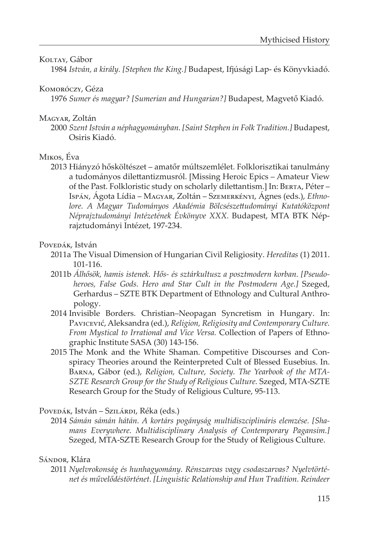#### Koltay, Gábor

1984 *István, a király. [Stephen the King.]* Budapest, Ifjúsági Lap- és Könyvkiadó.

### Komoróczy, Géza

1976 *Sumer és magyar? [Sumerian and Hungarian?]* Budapest, Magvető Kiadó.

### Magyar, Zoltán

2000 *Szent István a néphagyományban*. *[Saint Stephen in Folk Tradition.]* Budapest, Osiris Kiadó.

## Mikos, Éva

2013 Hiányzó hősköltészet – amatőr múltszemlélet. Folklorisztikai tanulmány a tudományos dilettantizmusról. [Missing Heroic Epics – Amateur View of the Past. Folkloristic study on scholarly dilettantism.] In: Berta, Péter – Ispán, Ágota Lídia – Magyar, Zoltán – Szemerkényi, Ágnes (eds.), *Ethnolore. A Magyar Tudományos Akadémia Bölcsészettudományi Kutatóközpont Néprajztudományi Intézetének Évkönyve XXX.* Budapest, MTA BTK Néprajztudományi Intézet, 197-234.

## Povedák, István

- 2011a The Visual Dimension of Hungarian Civil Religiosity. *Hereditas* (1) 2011. 101-116.
- 2011b *Álhősök, hamis istenek. Hős- és sztárkultusz a posztmodern korban. [Pseudoheroes, False Gods. Hero and Star Cult in the Postmodern Age.]* Szeged, Gerhardus – SZTE BTK Department of Ethnology and Cultural Anthropology.
- 2014 Invisible Borders. Christian–Neopagan Syncretism in Hungary. In: Pavicević, Aleksandra (ed.), *Religion, Religiosity and Contemporary Culture. From Mystical to Irrational and Vice Versa.* Collection of Papers of Ethnographic Institute SASA (30) 143-156.
- 2015 The Monk and the White Shaman. Competitive Discourses and Conspiracy Theories around the Reinterpreted Cult of Blessed Eusebius. In. Barna, Gábor (ed.), *Religion, Culture, Society. The Yearbook of the MTA-SZTE Research Group for the Study of Religious Culture.* Szeged, MTA-SZTE Research Group for the Study of Religious Culture, 95-113.

## Povedák, István – Szilárdi, Réka (eds.)

2014 *Sámán sámán hátán. A kortárs pogányság multidiszciplináris elemzése. [Shamans Everywhere. Multidisciplinary Analysis of Contemporary Pagansim.]*  Szeged, MTA-SZTE Research Group for the Study of Religious Culture.

## Sándor, Klára

2011 *Nyelvrokonság és hunhagyomány. Rénszarvas vagy csodaszarvas? Nyelvtörténet és művelődéstörténet. [Linguistic Relationship and Hun Tradition. Reindeer*